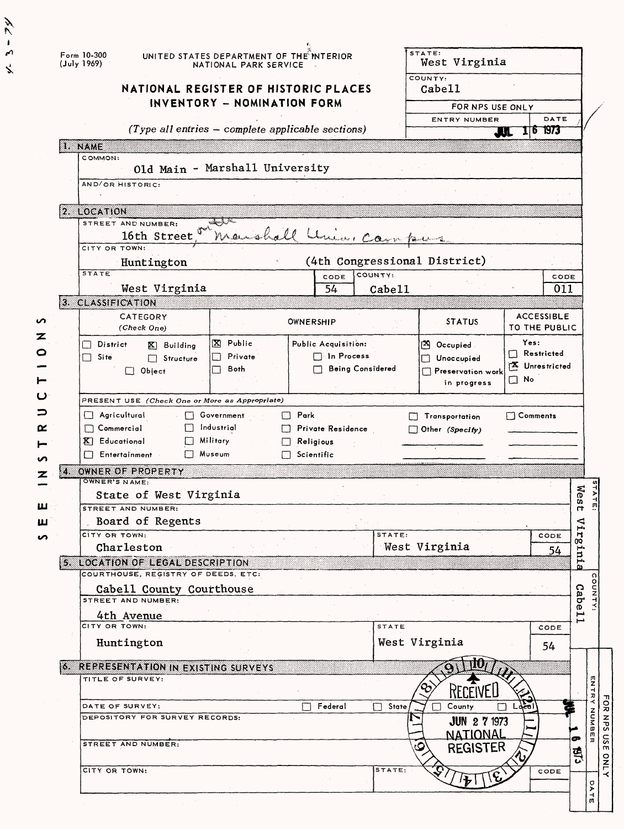|        |    | Form 10-300<br>(July 1969)<br>NATIONAL REGISTER OF HISTORIC PLACES      | UNITED STATES DEPARTMENT OF THE INTERIOR<br>NATIONAL PARK SERVICE |                                                       |              | STATE:<br>West Virginia<br>COUNTY:<br>Cabe11 |                                    |               |             |
|--------|----|-------------------------------------------------------------------------|-------------------------------------------------------------------|-------------------------------------------------------|--------------|----------------------------------------------|------------------------------------|---------------|-------------|
|        |    |                                                                         | INVENTORY - NOMINATION FORM                                       |                                                       |              | FOR NPS USE ONLY                             |                                    |               |             |
|        |    |                                                                         |                                                                   |                                                       |              | ENTRY NUMBER                                 | DATE                               |               |             |
|        |    |                                                                         |                                                                   | $(Type$ all entries $-$ complete applicable sections) |              |                                              | 16 1973<br>ΑI.                     |               |             |
|        |    | I. NAME<br>COMMON:                                                      |                                                                   |                                                       |              |                                              |                                    |               |             |
|        |    |                                                                         | Old Main - Marshall University                                    |                                                       |              |                                              |                                    |               |             |
|        |    | AND/OR HISTORIC:                                                        |                                                                   |                                                       |              |                                              |                                    |               |             |
|        |    | 2. LOCATION                                                             |                                                                   |                                                       |              |                                              |                                    |               |             |
|        |    | STREET AND NUMBER:<br>16th Street                                       | ستشر أسهلنه                                                       | Maishall Unio, Campus                                 |              |                                              |                                    |               |             |
|        |    | CITY OR TOWN:                                                           |                                                                   |                                                       |              |                                              |                                    |               |             |
|        |    | Huntington<br><b>STATE</b>                                              |                                                                   | CODE                                                  | COUNTY:      | (4th Congressional District)                 | CODE                               |               |             |
|        |    | West Virginia                                                           |                                                                   | 54                                                    | Cabe11       |                                              | 011                                |               |             |
|        |    | 3. CLASSIFICATION                                                       |                                                                   |                                                       |              |                                              |                                    |               |             |
| n<br>z |    | CATEGORY<br>(Check One)                                                 |                                                                   | OWNERSHIP                                             |              | <b>STATUS</b>                                | <b>ACCESSIBLE</b><br>TO THE PUBLIC |               |             |
| o      |    | District<br>$\mathbb{X}$ Building                                       | X Public                                                          | Public Acquisition:                                   |              | <sup>24</sup> Occupied                       | Yes:<br>$\Box$ Restricted          |               |             |
|        |    | П.<br>Site<br>$\Box$ Structure                                          | Private<br>Both                                                   | $\Box$ In Process<br>□ Being Considered               |              | Unoccupied                                   | X Unrestricted                     |               |             |
| ►      |    | $\Box$ Object                                                           |                                                                   |                                                       |              | Preservation work<br>in progress             | $\square$ No                       |               |             |
|        |    | PRESENT USE (Check One or More as Appropriate)                          |                                                                   |                                                       |              |                                              |                                    |               |             |
| ⊃      |    | O<br>Agricultural                                                       | Government                                                        | Park<br>П                                             | $\mathbf{F}$ | Transportation                               | $\Box$ Comments                    |               |             |
| œ      |    | $\Box$ Commercial                                                       | Industrial                                                        | Private Residence<br>l 1                              |              | $\Box$ Other (Specify)                       |                                    |               |             |
|        |    | K Educational                                                           | Military.                                                         | Religious<br>П                                        |              |                                              |                                    |               |             |
|        |    | Entertainment<br>$\Box$                                                 | Museum                                                            | $\Box$ Scientific                                     |              |                                              |                                    |               |             |
|        | zs | OWNER OF PROPERTY<br>OWNER'S NAME:                                      |                                                                   |                                                       |              |                                              |                                    |               |             |
|        |    | State of West Virginia                                                  |                                                                   |                                                       |              |                                              |                                    | 57A<br>West   |             |
| ш      |    | STREET AND NUMBER:                                                      |                                                                   |                                                       |              |                                              |                                    | 피             |             |
| ш      |    | Board of Regents<br>CITY OR TOWN:                                       |                                                                   |                                                       |              |                                              |                                    | ⊲             |             |
|        |    | Charleston                                                              |                                                                   |                                                       | STATE:       | West Virginia                                | CODE<br>54                         | Н             |             |
|        |    | 5. LOCATION OF LEGAL DESCRIPTION<br>COURTHOUSE, REGISTRY OF DEEDS, ETC: |                                                                   |                                                       |              |                                              |                                    | erura.        |             |
|        |    | Cabell County Courthouse                                                |                                                                   |                                                       |              |                                              |                                    |               |             |
|        |    | STREET AND NUMBER:                                                      |                                                                   |                                                       |              |                                              |                                    | Cabe11        |             |
|        |    | 4th Avenue<br>CITY OR TOWN:                                             |                                                                   |                                                       | STATE        |                                              | CODE                               |               |             |
|        |    | Huntington                                                              |                                                                   |                                                       |              | West Virginia                                |                                    |               |             |
|        |    |                                                                         |                                                                   |                                                       |              |                                              | 54                                 |               |             |
|        |    | <b>6. REPRESENTATION IN EXISTING SURVEYS</b>                            |                                                                   |                                                       |              |                                              |                                    |               |             |
|        |    | TITLE OF SURVEY:                                                        |                                                                   |                                                       |              | RECEIVEI                                     |                                    | アストド          |             |
|        |    | DATE OF SURVEY:                                                         |                                                                   | Federal                                               | State<br>П   | County                                       |                                    |               | FOR         |
|        |    | DEPOSITORY FOR SURVEY RECORDS:                                          |                                                                   |                                                       |              | <b>JUN 2 7 1973</b>                          |                                    | <b>NUNDER</b> | SdN         |
|        |    | STREET AND NUMBER:                                                      |                                                                   |                                                       |              | NATIONAL                                     |                                    |               | usE         |
|        |    |                                                                         |                                                                   |                                                       |              | <b>REGISTER</b>                              |                                    | 띗             |             |
|        |    | CITY OR TOWN:                                                           |                                                                   |                                                       | STATE:       |                                              | CODE                               | σ<br>D        | <b>ONLY</b> |
|        |    |                                                                         |                                                                   |                                                       |              |                                              |                                    | $\frac{1}{n}$ |             |

 $4 - 5 - 74$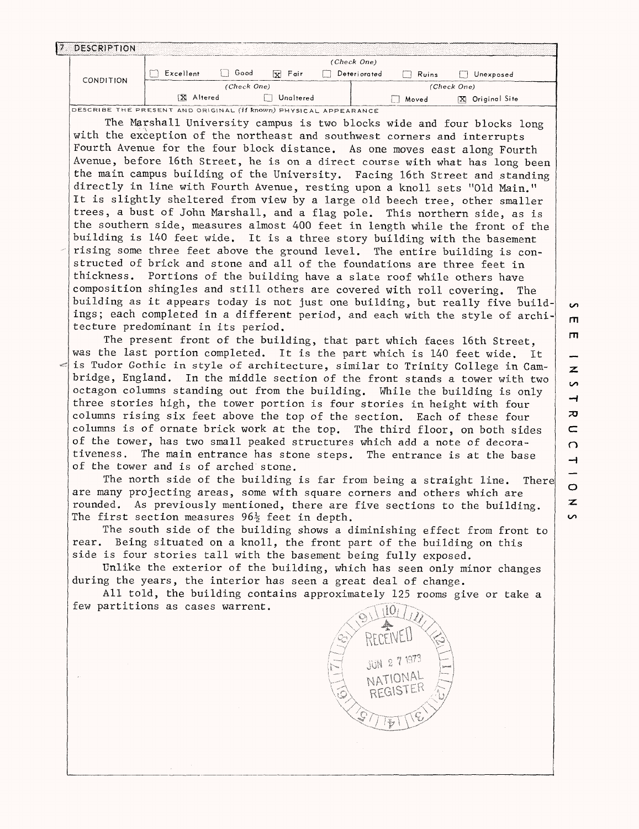| 7 DESCRIPTION                                                                                                                                             |                  |             |           |                     |         |              |                                                                         |               |
|-----------------------------------------------------------------------------------------------------------------------------------------------------------|------------------|-------------|-----------|---------------------|---------|--------------|-------------------------------------------------------------------------|---------------|
|                                                                                                                                                           |                  |             |           | (Check One)         |         |              |                                                                         |               |
| CONDITION                                                                                                                                                 | $\Box$ Excellent | $\Box$ Good | $X$ Fair  | $\Box$ Deteriorated |         | $\Box$ Ruins | Unexposed                                                               |               |
|                                                                                                                                                           | X Altered        | (Check One) | Unaltered |                     |         |              | (Check One)                                                             |               |
| DESCRIBE THE PRESENT AND ORIGINAL (If known) PHYSICAL APPEARANCE                                                                                          |                  |             |           |                     |         | Moved        | [X] Original Site                                                       |               |
|                                                                                                                                                           |                  |             |           |                     |         |              | The Marshall University campus is two blocks wide and four blocks long  |               |
| with the exception of the northeast and southwest corners and interrupts                                                                                  |                  |             |           |                     |         |              |                                                                         |               |
| Fourth Avenue for the four block distance. As one moves east along Fourth                                                                                 |                  |             |           |                     |         |              |                                                                         |               |
| Avenue, before 16th Street, he is on a direct course with what has long been                                                                              |                  |             |           |                     |         |              |                                                                         |               |
| the main campus building of the University. Facing 16th Street and standing                                                                               |                  |             |           |                     |         |              |                                                                         |               |
| directly in line with Fourth Avenue, resting upon a knoll sets "Old Main."                                                                                |                  |             |           |                     |         |              |                                                                         |               |
| It is slightly sheltered from view by a large old beech tree, other smaller                                                                               |                  |             |           |                     |         |              |                                                                         |               |
| trees, a bust of John Marshall, and a flag pole. This northern side, as is                                                                                |                  |             |           |                     |         |              |                                                                         |               |
| the southern side, measures almost 400 feet in length while the front of the                                                                              |                  |             |           |                     |         |              |                                                                         |               |
| building is 140 feet wide. It is a three story building with the basement<br>rising some three feet above the ground level. The entire building is con-   |                  |             |           |                     |         |              |                                                                         |               |
| structed of brick and stone and all of the foundations are three feet in                                                                                  |                  |             |           |                     |         |              |                                                                         |               |
| thickness.                                                                                                                                                |                  |             |           |                     |         |              | Portions of the building have a slate roof while others have            |               |
| composition shingles and still others are covered with roll covering.                                                                                     |                  |             |           |                     |         |              |                                                                         | The           |
| building as it appears today is not just one building, but really five build-                                                                             |                  |             |           |                     |         |              |                                                                         | $\sim$        |
| ings; each completed in a different period, and each with the style of archi-                                                                             |                  |             |           |                     |         |              |                                                                         | $\mathsf{m}$  |
| tecture predominant in its period.                                                                                                                        |                  |             |           |                     |         |              |                                                                         | $\mathsf{m}$  |
|                                                                                                                                                           |                  |             |           |                     |         |              | The present front of the building, that part which faces 16th Street,   |               |
| was the last portion completed. It is the part which is 140 feet wide. It<br>is Tudor Gothic in style of architecture, similar to Trinity College in Cam- |                  |             |           |                     |         |              |                                                                         |               |
| bridge, England. In the middle section of the front stands a tower with two                                                                               |                  |             |           |                     |         |              |                                                                         | z             |
| octagon columns standing out from the building. While the building is only                                                                                |                  |             |           |                     |         |              |                                                                         | S             |
| three stories high, the tower portion is four stories in height with four                                                                                 |                  |             |           |                     |         |              |                                                                         | $\rightarrow$ |
| columns rising six feet above the top of the section. Each of these four                                                                                  |                  |             |           |                     |         |              |                                                                         | ᅎ             |
| columns is of ornate brick work at the top. The third floor, on both sides                                                                                |                  |             |           |                     |         |              |                                                                         | $\subset$     |
| of the tower, has two small peaked structures which add a note of decora-                                                                                 |                  |             |           |                     |         |              |                                                                         | $\Omega$      |
| tiveness.<br>of the tower and is of arched stone.                                                                                                         |                  |             |           |                     |         |              | The main entrance has stone steps. The entrance is at the base          | $\rightarrow$ |
|                                                                                                                                                           |                  |             |           |                     |         |              | The north side of the building is far from being a straight line.       | There         |
| are many projecting areas, some with square corners and others which are                                                                                  |                  |             |           |                     |         |              |                                                                         | $\circ$       |
| rounded.                                                                                                                                                  |                  |             |           |                     |         |              | As previously mentioned, there are five sections to the building.       | $\mathbf{z}$  |
| The first section measures $96\frac{1}{2}$ feet in depth.                                                                                                 |                  |             |           |                     |         |              |                                                                         | S             |
|                                                                                                                                                           |                  |             |           |                     |         |              | The south side of the building shows a diminishing effect from front to |               |
| rear. Being situated on a knoll, the front part of the building on this                                                                                   |                  |             |           |                     |         |              |                                                                         |               |
| side is four stories tall with the basement being fully exposed.                                                                                          |                  |             |           |                     |         |              |                                                                         |               |
| during the years, the interior has seen a great deal of change.                                                                                           |                  |             |           |                     |         |              | Unlike the exterior of the building, which has seen only minor changes  |               |
|                                                                                                                                                           |                  |             |           |                     |         |              | All told, the building contains approximately 125 rooms give or take a  |               |
| few partitions as cases warrent.                                                                                                                          |                  |             |           |                     |         |              |                                                                         |               |
|                                                                                                                                                           |                  |             |           |                     |         |              |                                                                         |               |
|                                                                                                                                                           |                  |             |           |                     |         |              |                                                                         |               |
|                                                                                                                                                           |                  |             |           |                     |         |              |                                                                         |               |
|                                                                                                                                                           |                  |             |           |                     |         |              |                                                                         |               |
|                                                                                                                                                           |                  |             |           |                     | NATIONA |              |                                                                         |               |
|                                                                                                                                                           |                  |             |           |                     | REGIST  |              |                                                                         |               |
|                                                                                                                                                           |                  |             |           |                     |         |              |                                                                         |               |
|                                                                                                                                                           |                  |             |           |                     |         |              |                                                                         |               |
|                                                                                                                                                           |                  |             |           |                     |         |              |                                                                         |               |
|                                                                                                                                                           |                  |             |           |                     |         |              |                                                                         |               |
|                                                                                                                                                           |                  |             |           |                     |         |              |                                                                         |               |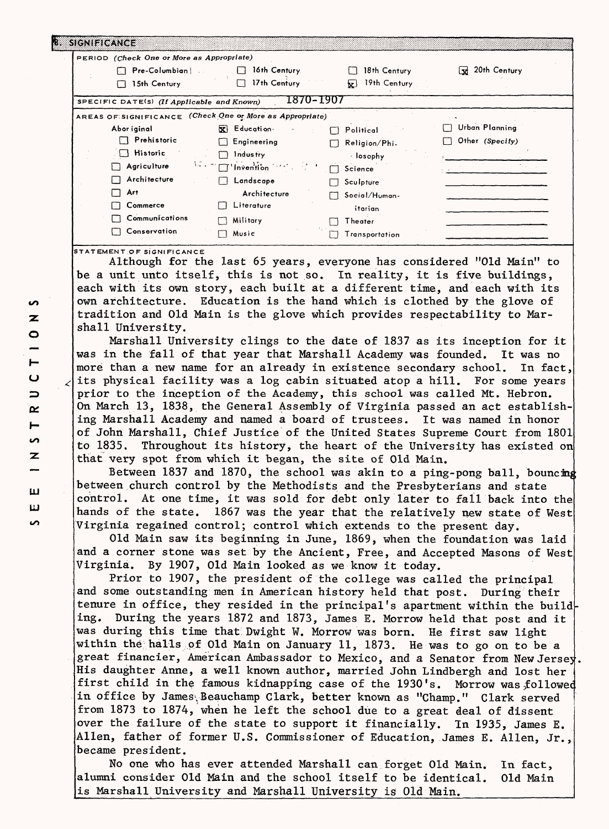| PERIOD (Check One or More as Appropriate)  |                                                                               |                    |                 |
|--------------------------------------------|-------------------------------------------------------------------------------|--------------------|-----------------|
| $\Box$ Pre-Columbian $\Box$                | 16th Century.                                                                 | 18th Century       | W 20th Century  |
| 15th Century<br>г٦                         | 17th Century<br>П                                                             | 19th Century<br>łи |                 |
| SPECIFIC DATE(S) (If Applicable and Known) | 1870-1907                                                                     |                    |                 |
|                                            | AREAS OF SIGNIFICANCE (Check One or More as Appropriate)                      |                    |                 |
| Abor iginal                                | <b>R</b> Education                                                            | Political          | Urban Planning  |
| Prehistoric                                | Engineering                                                                   | Religion/Phi.      | Other (Specify) |
| $\Box$ Historic                            | Industry                                                                      | - losophy          |                 |
| Agriculture                                | $\mathcal{M} \subset \mathbb{C}$ 'Invention $\mathcal{M} \subset \mathcal{M}$ | Science            |                 |
| Architecture                               | Landscape                                                                     | Sculpture          |                 |
| Art                                        | Architecture                                                                  | Social/Human-      |                 |
| Commerce                                   | Literature                                                                    | itarian            |                 |
| Communications                             | Military                                                                      | Theater            |                 |
| Conservation                               | Music                                                                         |                    |                 |

STATEMENT OF SIGNIFICANCE

Although for the last 65 years, everyone has considered "Old Main" to be a unit unto itself, this is not so. In reality, it is five buildings, each with its own story, each built at a different time, and each with its own architecture. Education is the hand which is clothed by the glove of tradition and Old Main is the glove which provides respectability to Marshall University.

Marshall University clings to the date of 1837 as its inception for it was in the fall of that year that Marshall Academy was founded. It was no more than a new name for an already in existence secondary school. In fact, its physical facility was a log cabin situated atop a hill. For some years prior to the inception of the Academy, this school was called Mt. Hebron. On March 13, 1838, the General Assembly of Virginia passed an act establishing Marshall Academy and named a board of trustees. It was named in honor of John Marshall, Chief Justice of the United States Supreme Court from 1801 to 1835. Throughout its history, the heart of the University has existed on that very spot from which it began, the site of Old Main.

Between 1837 and 1870, the school was akin to a ping-pong ball, bouncing between church control by the Methodists and the Presbyterians and state control. At one time, it was sold for debt only later to fall back into the hands of the state. 1867 was the year that the relatively new state of West Virginia regained control; control which extends to the present day.

Old Main saw its beginning in June, 1869, when the foundation was laid and a corner stone was set by the Ancient, Free, and Accepted Masons of West Virginia. By 1907, Old Main looked as we know it today.

Prior to 1907, the president of the college was called the principal and some outstanding men in American history held that post. During their tenure in office, they resided in the principal's apartment within the build ing. During the years 1872 and 1873, James E. Morrow held that post and it was during this time that: Dwight W. Morrow was born. He first saw light within the halls of Old Main on January 11, 1873. He was to go on to be a great financier, American Ambassador to Mexico, and a Senator from New Jersey. His daughter Anne, a well known author, married John Lindbergh and lost her first child in the famous kidnapping case of the  $1930's$ . Morrow was followed in office by James Beauchamp Clark, better known as "Champ." Clark served from 1873 to 1874, when he left the school due to a great deal of dissent over the failure of the state to support it financially. In 1935, James E, Alien, father of former U.S. Commissioner of Education, James E. Alien, Jr, became president.

No one who has ever attended Marshall can forget Old Main. In fact, alumni consider Old Main and the school itself to be identical. Old Main is Marshall University and Marshall University is Old Main.